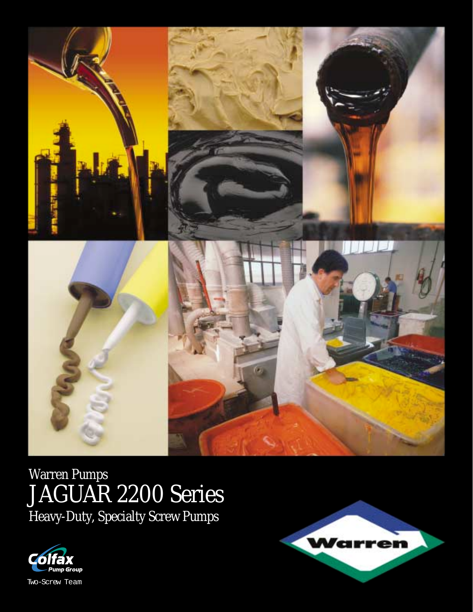

# Warren Pumps JAGUAR 2200 Series Heavy-Duty, Specialty Screw Pumps



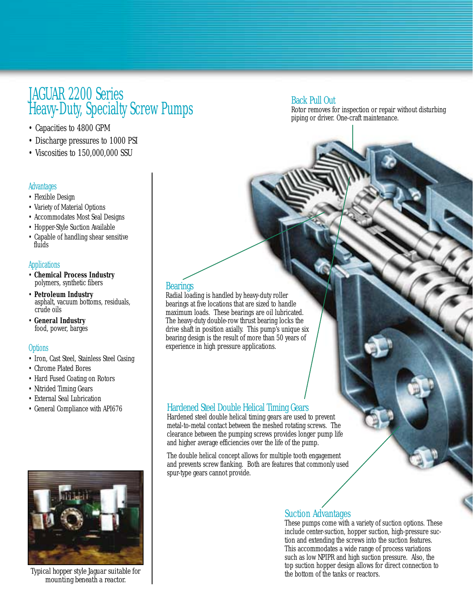# JAGUAR 2200 Series Heavy-Duty, Specialty Screw Pumps

- Capacities to 4800 GPM
- Discharge pressures to 1000 PSI
- Viscosities to 150,000,000 SSU

#### **Advantages**

- Flexible Design
- Variety of Material Options
- Accommodates Most Seal Designs
- Hopper-Style Suction Available
- Capable of handling shear sensitive fluids

#### **Applications**

- **Chemical Process Industry** polymers, synthetic fibers
- **Petroleum Industry** asphalt, vacuum bottoms, residuals, crude oils
- **General Industry** food, power, barges

#### **Options**

- Iron, Cast Steel, Stainless Steel Casing
- Chrome Plated Bores
- Hard Fused Coating on Rotors
- Nitrided Timing Gears
- External Seal Lubrication
- General Compliance with API676



*Typical hopper style Jaguar suitable for mounting beneath a reactor.*

# **Bearings**

Radial loading is handled by heavy-duty roller bearings at five locations that are sized to handle maximum loads. These bearings are oil lubricated. The heavy-duty double-row thrust bearing locks the drive shaft in position axially. This pump's unique six bearing design is the result of more than 50 years of experience in high pressure applications.

### Hardened Steel Double Helical Timing Gears

Hardened steel double helical timing gears are used to prevent metal-to-metal contact between the meshed rotating screws. The clearance between the pumping screws provides longer pump life and higher average efficiencies over the life of the pump.

The double helical concept allows for multiple tooth engagement and prevents screw flanking. Both are features that commonly used spur-type gears cannot provide.

## Suction Advantages

These pumps come with a variety of suction options. These include center-suction, hopper suction, high-pressure suction and extending the screws into the suction features. This accommodates a wide range of process variations such as low NPIPR and high suction pressure. Also, the top suction hopper design allows for direct connection to the bottom of the tanks or reactors.

# Back Pull Out

Rotor removes for inspection or repair without disturbing piping or driver. One-craft maintenance.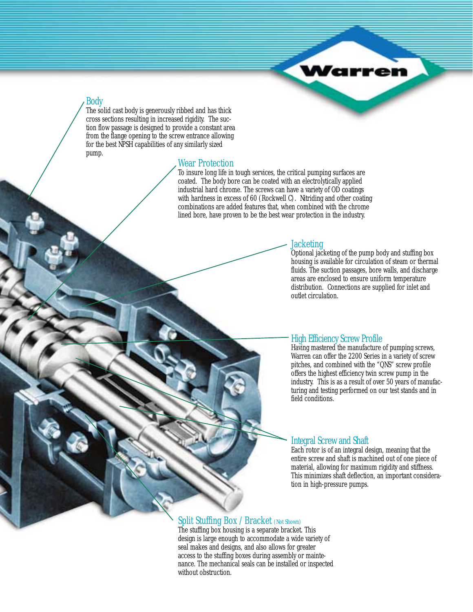

### Body

The solid cast body is generously ribbed and has thick cross sections resulting in increased rigidity. The suction flow passage is designed to provide a constant area from the flange opening to the screw entrance allowing for the best NPSH capabilities of any similarly sized pump.

#### Wear Protection

To insure long life in tough services, the critical pumping surfaces are coated. The body bore can be coated with an electrolytically applied industrial hard chrome. The screws can have a variety of OD coatings with hardness in excess of 60 (Rockwell C). Nitriding and other coating combinations are added features that, when combined with the chrome lined bore, have proven to be the best wear protection in the industry.

#### **Jacketing**

Optional jacketing of the pump body and stuffing box housing is available for circulation of steam or thermal fluids. The suction passages, bore walls, and discharge areas are enclosed to ensure uniform temperature distribution. Connections are supplied for inlet and outlet circulation.

#### High Efficiency Screw Profile

Having mastered the manufacture of pumping screws, Warren can offer the 2200 Series in a variety of screw pitches, and combined with the "QNS" screw profile offers the highest efficiency twin screw pump in the industry. This is as a result of over 50 years of manufacturing and testing performed on our test stands and in field conditions.

#### Integral Screw and Shaft

Each rotor is of an integral design, meaning that the entire screw and shaft is machined out of one piece of material, allowing for maximum rigidity and stiffness. This minimizes shaft deflection, an important consideration in high-pressure pumps.

### Split Stuffing Box / Bracket (Not Shown)

The stuffing box housing is a separate bracket. This design is large enough to accommodate a wide variety of seal makes and designs, and also allows for greater access to the stuffing boxes during assembly or maintenance. The mechanical seals can be installed or inspected without obstruction.